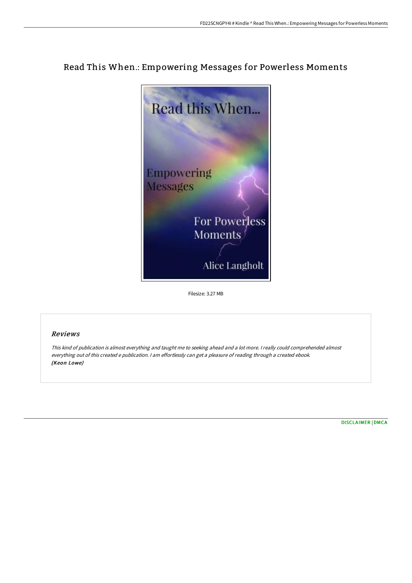# Read This When.: Empowering Messages for Powerless Moments



Filesize: 3.27 MB

## Reviews

This kind of publication is almost everything and taught me to seeking ahead and <sup>a</sup> lot more. <sup>I</sup> really could comprehended almost everything out of this created <sup>e</sup> publication. <sup>I</sup> am effortlessly can get <sup>a</sup> pleasure of reading through <sup>a</sup> created ebook. (Keon Lowe)

[DISCLAIMER](http://www.bookdirs.com/disclaimer.html) | [DMCA](http://www.bookdirs.com/dmca.html)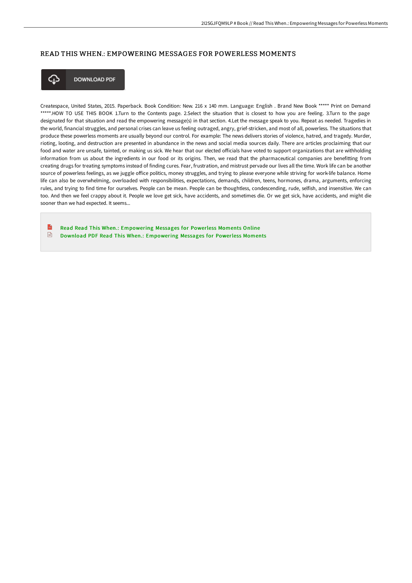### READ THIS WHEN.: EMPOWERING MESSAGES FOR POWERLESS MOMENTS



**DOWNLOAD PDF** 

Createspace, United States, 2015. Paperback. Book Condition: New. 216 x 140 mm. Language: English . Brand New Book \*\*\*\*\* Print on Demand \*\*\*\*\*.HOW TO USE THIS BOOK 1.Turn to the Contents page. 2.Select the situation that is closest to how you are feeling. 3.Turn to the page designated for that situation and read the empowering message(s) in that section. 4.Let the message speak to you. Repeat as needed. Tragedies in the world, financial struggles, and personal crises can leave us feeling outraged, angry, grief-stricken, and most of all, powerless. The situations that produce these powerless moments are usually beyond our control. For example: The news delivers stories of violence, hatred, and tragedy. Murder, rioting, looting, and destruction are presented in abundance in the news and social media sources daily. There are articles proclaiming that our food and water are unsafe, tainted, or making us sick. We hear that our elected officials have voted to support organizations that are withholding information from us about the ingredients in our food or its origins. Then, we read that the pharmaceutical companies are benefitting from creating drugs for treating symptoms instead of finding cures. Fear, frustration, and mistrust pervade our lives all the time. Work life can be another source of powerless feelings, as we juggle office politics, money struggles, and trying to please everyone while striving for work-life balance. Home life can also be overwhelming, overloaded with responsibilities, expectations, demands, children, teens, hormones, drama, arguments, enforcing rules, and trying to find time for ourselves. People can be mean. People can be thoughtless, condescending, rude, selfish, and insensitive. We can too. And then we feel crappy about it. People we love get sick, have accidents, and sometimes die. Or we get sick, have accidents, and might die sooner than we had expected. It seems...

 $\mathbb{R}$ Read Read This When.: [Empowering](http://www.bookdirs.com/read-this-when-empowering-messages-for-powerless.html) Messages for Powerless Moments Online  $\sqrt{m}$ Download PDF Read This When.: [Empowering](http://www.bookdirs.com/read-this-when-empowering-messages-for-powerless.html) Messages for Powerless Moments